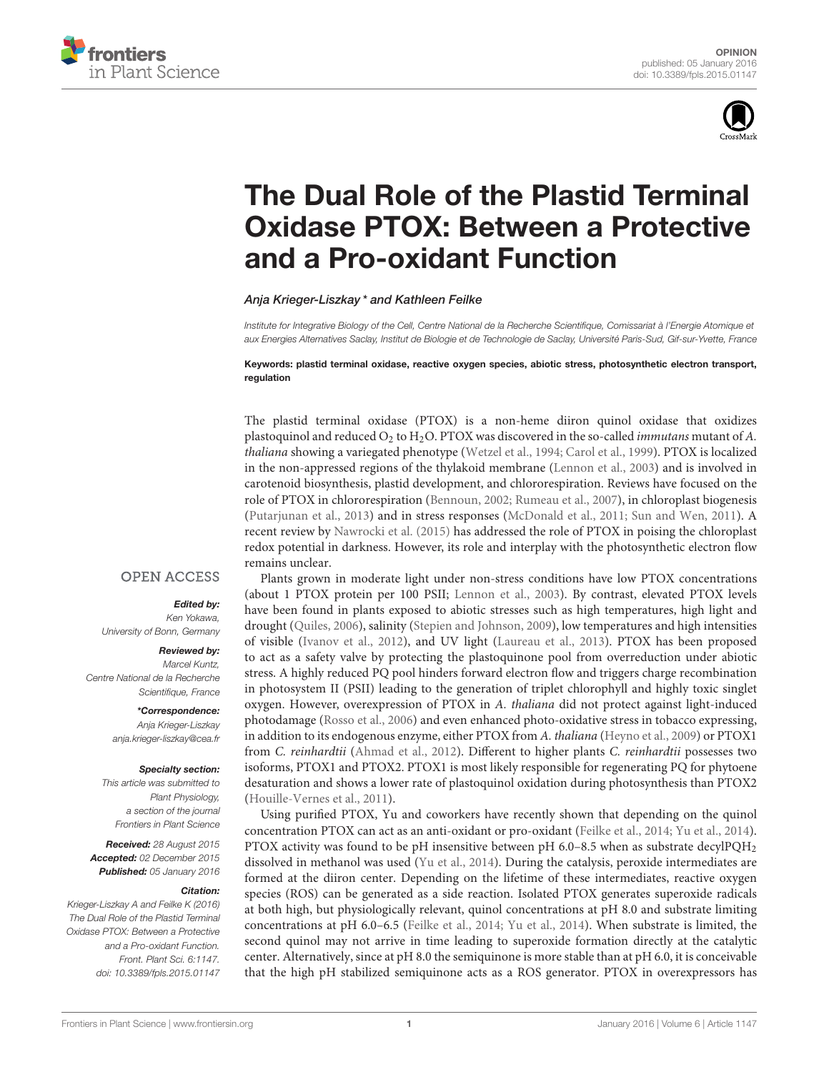



# The Dual Role of the Plastid Terminal [Oxidase PTOX: Between a Protective](http://journal.frontiersin.org/article/10.3389/fpls.2015.01147/full) and a Pro-oxidant Function

[Anja Krieger-Liszkay](http://loop.frontiersin.org/people/198799/overview) \* and Kathleen Feilke

Institute for Integrative Biology of the Cell, Centre National de la Recherche Scientifique, Comissariat à l'Energie Atomique et aux Energies Alternatives Saclay, Institut de Biologie et de Technologie de Saclay, Université Paris-Sud, Gif-sur-Yvette, France

Keywords: plastid terminal oxidase, reactive oxygen species, abiotic stress, photosynthetic electron transport, regulation

The plastid terminal oxidase (PTOX) is a non-heme diiron quinol oxidase that oxidizes plastoquinol and reduced  $O_2$  to  $H_2O$ . PTOX was discovered in the so-called *immutans* mutant of A. thaliana showing a variegated phenotype [\(Wetzel et al., 1994;](#page-2-0) [Carol et al., 1999\)](#page-2-1). PTOX is localized in the non-appressed regions of the thylakoid membrane [\(Lennon et al., 2003\)](#page-2-2) and is involved in carotenoid biosynthesis, plastid development, and chlororespiration. Reviews have focused on the role of PTOX in chlororespiration [\(Bennoun, 2002;](#page-2-3) [Rumeau et al., 2007\)](#page-2-4), in chloroplast biogenesis [\(Putarjunan et al., 2013\)](#page-2-5) and in stress responses [\(McDonald et al., 2011;](#page-2-6) [Sun and Wen, 2011\)](#page-2-7). A recent review by [Nawrocki et al. \(2015\)](#page-2-8) has addressed the role of PTOX in poising the chloroplast redox potential in darkness. However, its role and interplay with the photosynthetic electron flow remains unclear.

### **OPEN ACCESS**

#### Edited by:

Ken Yokawa, University of Bonn, Germany

#### Reviewed by:

Marcel Kuntz, Centre National de la Recherche Scientifique, France

> \*Correspondence: Anja Krieger-Liszkay [anja.krieger-liszkay@cea.fr](mailto:anja.krieger-liszkay@cea.fr)

#### Specialty section:

This article was submitted to Plant Physiology, a section of the journal Frontiers in Plant Science

Received: 28 August 2015 Accepted: 02 December 2015 Published: 05 January 2016

#### Citation:

Krieger-Liszkay A and Feilke K (2016) The Dual Role of the Plastid Terminal Oxidase PTOX: Between a Protective and a Pro-oxidant Function. Front. Plant Sci. 6:1147. doi: [10.3389/fpls.2015.01147](http://dx.doi.org/10.3389/fpls.2015.01147)

Plants grown in moderate light under non-stress conditions have low PTOX concentrations (about 1 PTOX protein per 100 PSII; [Lennon et al., 2003\)](#page-2-2). By contrast, elevated PTOX levels have been found in plants exposed to abiotic stresses such as high temperatures, high light and drought [\(Quiles, 2006\)](#page-2-9), salinity [\(Stepien and Johnson, 2009\)](#page-2-10), low temperatures and high intensities of visible [\(Ivanov et al., 2012\)](#page-2-11), and UV light [\(Laureau et al., 2013\)](#page-2-12). PTOX has been proposed to act as a safety valve by protecting the plastoquinone pool from overreduction under abiotic stress. A highly reduced PQ pool hinders forward electron flow and triggers charge recombination in photosystem II (PSII) leading to the generation of triplet chlorophyll and highly toxic singlet oxygen. However, overexpression of PTOX in A. thaliana did not protect against light-induced photodamage [\(Rosso et al., 2006\)](#page-2-13) and even enhanced photo-oxidative stress in tobacco expressing, in addition to its endogenous enzyme, either PTOX from A. thaliana [\(Heyno et al., 2009\)](#page-2-14) or PTOX1 from C. reinhardtii [\(Ahmad et al., 2012\)](#page-2-15). Different to higher plants C. reinhardtii possesses two isoforms, PTOX1 and PTOX2. PTOX1 is most likely responsible for regenerating PQ for phytoene desaturation and shows a lower rate of plastoquinol oxidation during photosynthesis than PTOX2 [\(Houille-Vernes et al., 2011\)](#page-2-16).

Using purified PTOX, Yu and coworkers have recently shown that depending on the quinol concentration PTOX can act as an anti-oxidant or pro-oxidant [\(Feilke et al., 2014;](#page-2-17) [Yu et al., 2014\)](#page-2-18). PTOX activity was found to be pH insensitive between pH 6.0–8.5 when as substrate decylPQH<sub>2</sub> dissolved in methanol was used [\(Yu et al., 2014\)](#page-2-18). During the catalysis, peroxide intermediates are formed at the diiron center. Depending on the lifetime of these intermediates, reactive oxygen species (ROS) can be generated as a side reaction. Isolated PTOX generates superoxide radicals at both high, but physiologically relevant, quinol concentrations at pH 8.0 and substrate limiting concentrations at pH 6.0–6.5 [\(Feilke et al., 2014;](#page-2-17) [Yu et al., 2014\)](#page-2-18). When substrate is limited, the second quinol may not arrive in time leading to superoxide formation directly at the catalytic center. Alternatively, since at pH 8.0 the semiquinone is more stable than at pH 6.0, it is conceivable that the high pH stabilized semiquinone acts as a ROS generator. PTOX in overexpressors has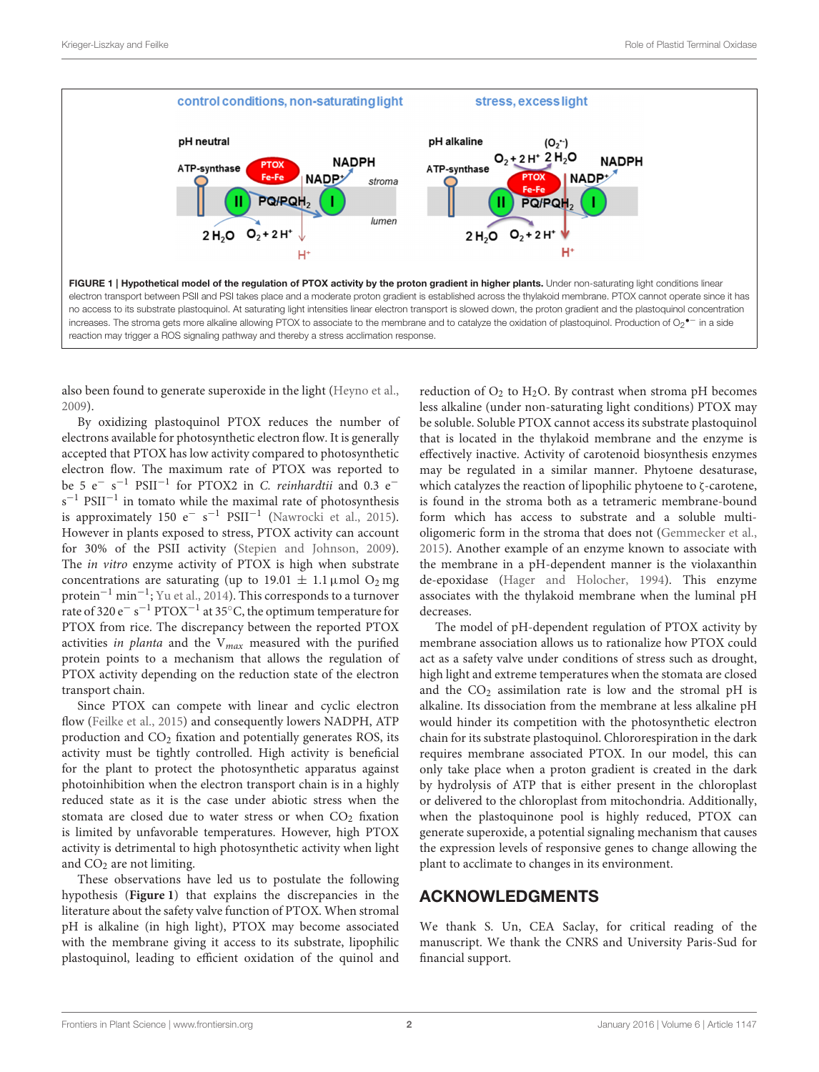

<span id="page-1-0"></span>also been found to generate superoxide in the light [\(Heyno et al.,](#page-2-14) [2009\)](#page-2-14).

By oxidizing plastoquinol PTOX reduces the number of electrons available for photosynthetic electron flow. It is generally accepted that PTOX has low activity compared to photosynthetic electron flow. The maximum rate of PTOX was reported to be 5 e<sup>−</sup> s <sup>−</sup><sup>1</sup> PSII−<sup>1</sup> for PTOX2 in C. reinhardtii and 0.3 e<sup>−</sup> s<sup>-1</sup> PSII<sup>-1</sup> in tomato while the maximal rate of photosynthesis is approximately 150  $e^-$  s<sup>-1</sup> PSII<sup>-1</sup> [\(Nawrocki et al., 2015\)](#page-2-8). However in plants exposed to stress, PTOX activity can account for 30% of the PSII activity [\(Stepien and Johnson, 2009\)](#page-2-10). The in vitro enzyme activity of PTOX is high when substrate concentrations are saturating (up to 19.01  $\pm$  1.1 µmol O<sub>2</sub> mg protein−<sup>1</sup> min−<sup>1</sup> ; [Yu et al., 2014\)](#page-2-18). This corresponds to a turnover rate of 320 e<sup>−</sup> s <sup>−</sup><sup>1</sup> PTOX−<sup>1</sup> at 35◦C, the optimum temperature for PTOX from rice. The discrepancy between the reported PTOX activities in planta and the  $V_{max}$  measured with the purified protein points to a mechanism that allows the regulation of PTOX activity depending on the reduction state of the electron transport chain.

Since PTOX can compete with linear and cyclic electron flow [\(Feilke et al., 2015\)](#page-2-19) and consequently lowers NADPH, ATP production and  $CO<sub>2</sub>$  fixation and potentially generates ROS, its activity must be tightly controlled. High activity is beneficial for the plant to protect the photosynthetic apparatus against photoinhibition when the electron transport chain is in a highly reduced state as it is the case under abiotic stress when the stomata are closed due to water stress or when  $CO<sub>2</sub>$  fixation is limited by unfavorable temperatures. However, high PTOX activity is detrimental to high photosynthetic activity when light and  $CO<sub>2</sub>$  are not limiting.

These observations have led us to postulate the following hypothesis (**[Figure 1](#page-1-0)**) that explains the discrepancies in the literature about the safety valve function of PTOX. When stromal pH is alkaline (in high light), PTOX may become associated with the membrane giving it access to its substrate, lipophilic plastoquinol, leading to efficient oxidation of the quinol and reduction of  $O_2$  to  $H_2O$ . By contrast when stroma pH becomes less alkaline (under non-saturating light conditions) PTOX may be soluble. Soluble PTOX cannot access its substrate plastoquinol that is located in the thylakoid membrane and the enzyme is effectively inactive. Activity of carotenoid biosynthesis enzymes may be regulated in a similar manner. Phytoene desaturase, which catalyzes the reaction of lipophilic phytoene to ζ-carotene, is found in the stroma both as a tetrameric membrane-bound form which has access to substrate and a soluble multioligomeric form in the stroma that does not [\(Gemmecker et al.,](#page-2-20) [2015\)](#page-2-20). Another example of an enzyme known to associate with the membrane in a pH-dependent manner is the violaxanthin de-epoxidase [\(Hager and Holocher, 1994\)](#page-2-21). This enzyme associates with the thylakoid membrane when the luminal pH decreases.

The model of pH-dependent regulation of PTOX activity by membrane association allows us to rationalize how PTOX could act as a safety valve under conditions of stress such as drought, high light and extreme temperatures when the stomata are closed and the  $CO<sub>2</sub>$  assimilation rate is low and the stromal pH is alkaline. Its dissociation from the membrane at less alkaline pH would hinder its competition with the photosynthetic electron chain for its substrate plastoquinol. Chlororespiration in the dark requires membrane associated PTOX. In our model, this can only take place when a proton gradient is created in the dark by hydrolysis of ATP that is either present in the chloroplast or delivered to the chloroplast from mitochondria. Additionally, when the plastoquinone pool is highly reduced, PTOX can generate superoxide, a potential signaling mechanism that causes the expression levels of responsive genes to change allowing the plant to acclimate to changes in its environment.

## ACKNOWLEDGMENTS

We thank S. Un, CEA Saclay, for critical reading of the manuscript. We thank the CNRS and University Paris-Sud for financial support.